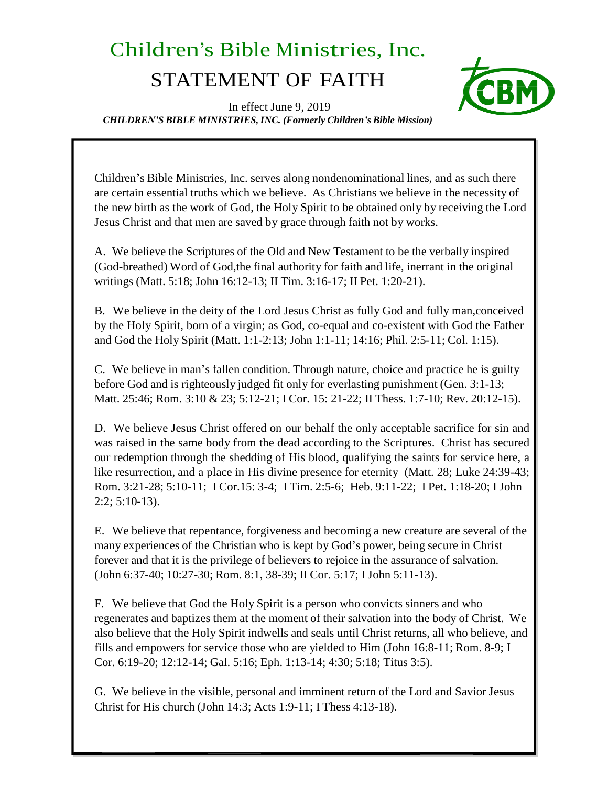## Children's Bible Ministries, Inc.

## STATEMENT OF FAITH



In effect June 9, 2019 *CHILDREN'S BIBLE MINISTRIES, INC. (Formerly Children's Bible Mission)*

Children's Bible Ministries, Inc. serves along nondenominational lines, and as such there are certain essential truths which we believe. As Christians we believe in the necessity of the new birth as the work of God, the Holy Spirit to be obtained only by receiving the Lord Jesus Christ and that men are saved by grace through faith not by works.

A. We believe the Scriptures of the Old and New Testament to be the verbally inspired (God-breathed) Word of God,the final authority for faith and life, inerrant in the original writings (Matt. 5:18; John 16:12-13; II Tim. 3:16-17; II Pet. 1:20-21).

B. We believe in the deity of the Lord Jesus Christ as fully God and fully man,conceived by the Holy Spirit, born of a virgin; as God, co-equal and co-existent with God the Father and God the Holy Spirit (Matt. 1:1-2:13; John 1:1-11; 14:16; Phil. 2:5-11; Col. 1:15).

C. We believe in man's fallen condition. Through nature, choice and practice he is guilty before God and is righteously judged fit only for everlasting punishment (Gen. 3:1-13; Matt. 25:46; Rom. 3:10 & 23; 5:12-21; I Cor. 15: 21-22; II Thess. 1:7-10; Rev. 20:12-15).

D. We believe Jesus Christ offered on our behalf the only acceptable sacrifice for sin and was raised in the same body from the dead according to the Scriptures. Christ has secured our redemption through the shedding of His blood, qualifying the saints for service here, a like resurrection, and a place in His divine presence for eternity (Matt. 28; Luke 24:39-43; Rom. 3:21-28; 5:10-11; I Cor.15: 3-4; I Tim. 2:5-6; Heb. 9:11-22; I Pet. 1:18-20; I John 2:2; 5:10-13).

E. We believe that repentance, forgiveness and becoming a new creature are several of the many experiences of the Christian who is kept by God's power, being secure in Christ forever and that it is the privilege of believers to rejoice in the assurance of salvation. (John 6:37-40; 10:27-30; Rom. 8:1, 38-39; II Cor. 5:17; I John 5:11-13).

F. We believe that God the Holy Spirit is a person who convicts sinners and who regenerates and baptizes them at the moment of their salvation into the body of Christ. We also believe that the Holy Spirit indwells and seals until Christ returns, all who believe, and fills and empowers for service those who are yielded to Him (John 16:8-11; Rom. 8-9; I Cor. 6:19-20; 12:12-14; Gal. 5:16; Eph. 1:13-14; 4:30; 5:18; Titus 3:5).

G. We believe in the visible, personal and imminent return of the Lord and Savior Jesus Christ for His church (John 14:3; Acts 1:9-11; I Thess 4:13-18).